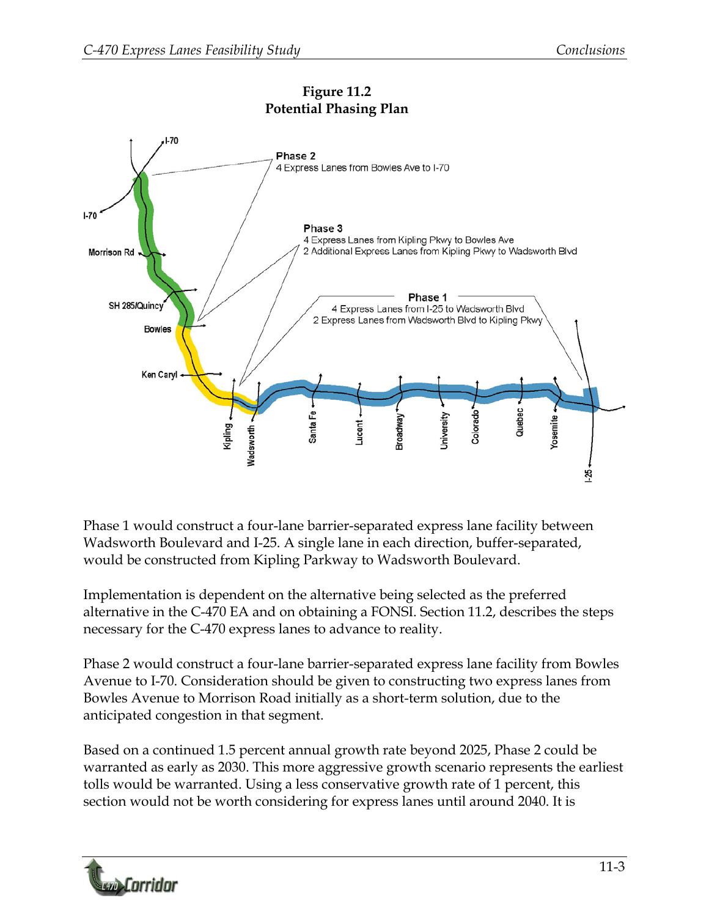

Phase 1 would construct a four-lane barrier-separated express lane facility between Wadsworth Boulevard and I-25. A single lane in each direction, buffer-separated, would be constructed from Kipling Parkway to Wadsworth Boulevard.

Implementation is dependent on the alternative being selected as the preferred alternative in the C-470 EA and on obtaining a FONSI. Section 11.2, describes the steps necessary for the C-470 express lanes to advance to reality.

Phase 2 would construct a four-lane barrier-separated express lane facility from Bowles Avenue to I-70. Consideration should be given to constructing two express lanes from Bowles Avenue to Morrison Road initially as a short-term solution, due to the anticipated congestion in that segment.

Based on a continued 1.5 percent annual growth rate beyond 2025, Phase 2 could be warranted as early as 2030. This more aggressive growth scenario represents the earliest tolls would be warranted. Using a less conservative growth rate of 1 percent, this section would not be worth considering for express lanes until around 2040. It is

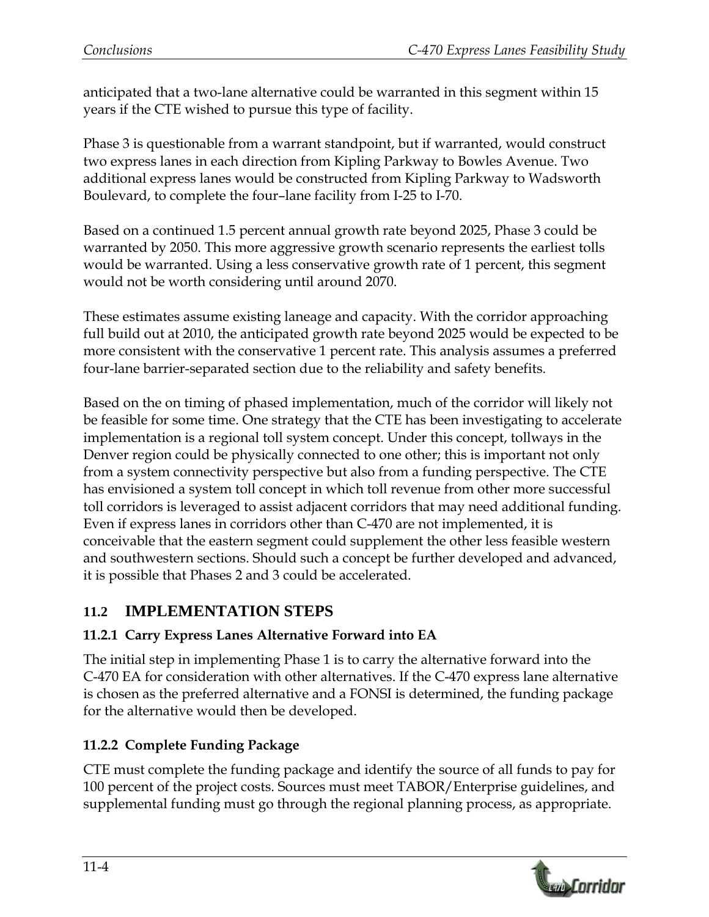anticipated that a two-lane alternative could be warranted in this segment within 15 years if the CTE wished to pursue this type of facility.

Phase 3 is questionable from a warrant standpoint, but if warranted, would construct two express lanes in each direction from Kipling Parkway to Bowles Avenue. Two additional express lanes would be constructed from Kipling Parkway to Wadsworth Boulevard, to complete the four–lane facility from I-25 to I-70.

Based on a continued 1.5 percent annual growth rate beyond 2025, Phase 3 could be warranted by 2050. This more aggressive growth scenario represents the earliest tolls would be warranted. Using a less conservative growth rate of 1 percent, this segment would not be worth considering until around 2070.

These estimates assume existing laneage and capacity. With the corridor approaching full build out at 2010, the anticipated growth rate beyond 2025 would be expected to be more consistent with the conservative 1 percent rate. This analysis assumes a preferred four-lane barrier-separated section due to the reliability and safety benefits.

Based on the on timing of phased implementation, much of the corridor will likely not be feasible for some time. One strategy that the CTE has been investigating to accelerate implementation is a regional toll system concept. Under this concept, tollways in the Denver region could be physically connected to one other; this is important not only from a system connectivity perspective but also from a funding perspective. The CTE has envisioned a system toll concept in which toll revenue from other more successful toll corridors is leveraged to assist adjacent corridors that may need additional funding. Even if express lanes in corridors other than C-470 are not implemented, it is conceivable that the eastern segment could supplement the other less feasible western and southwestern sections. Should such a concept be further developed and advanced, it is possible that Phases 2 and 3 could be accelerated.

# **11.2 IMPLEMENTATION STEPS**

## **11.2.1 Carry Express Lanes Alternative Forward into EA**

The initial step in implementing Phase 1 is to carry the alternative forward into the C-470 EA for consideration with other alternatives. If the C-470 express lane alternative is chosen as the preferred alternative and a FONSI is determined, the funding package for the alternative would then be developed.

# **11.2.2 Complete Funding Package**

CTE must complete the funding package and identify the source of all funds to pay for 100 percent of the project costs. Sources must meet TABOR/Enterprise guidelines, and supplemental funding must go through the regional planning process, as appropriate.

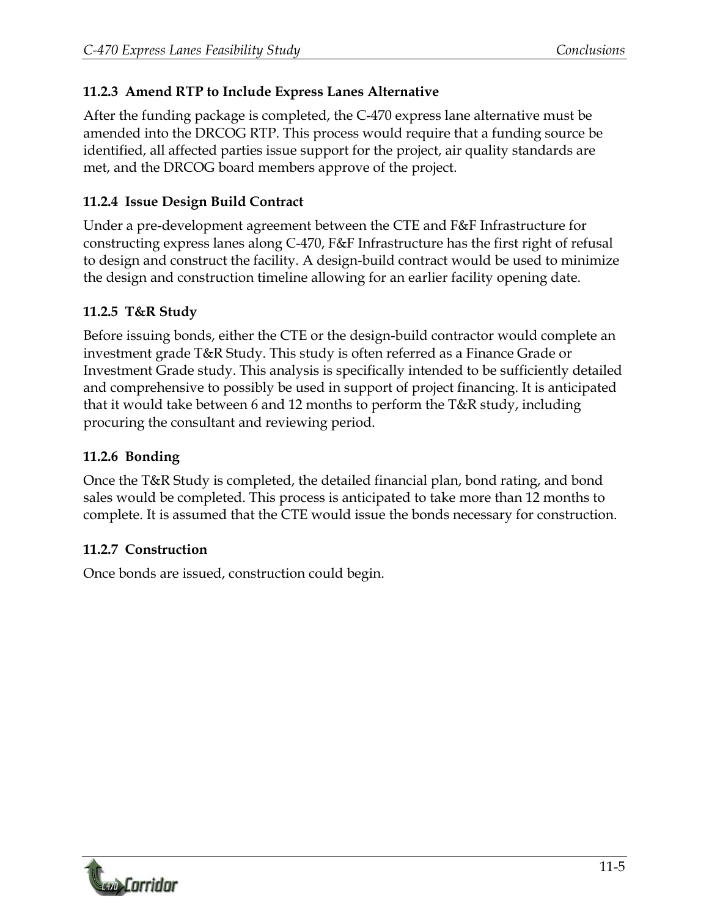#### **11.2.3 Amend RTP to Include Express Lanes Alternative**

After the funding package is completed, the C-470 express lane alternative must be amended into the DRCOG RTP. This process would require that a funding source be identified, all affected parties issue support for the project, air quality standards are met, and the DRCOG board members approve of the project.

### **11.2.4 Issue Design Build Contract**

Under a pre-development agreement between the CTE and F&F Infrastructure for constructing express lanes along C-470, F&F Infrastructure has the first right of refusal to design and construct the facility. A design-build contract would be used to minimize the design and construction timeline allowing for an earlier facility opening date.

## **11.2.5 T&R Study**

Before issuing bonds, either the CTE or the design-build contractor would complete an investment grade T&R Study. This study is often referred as a Finance Grade or Investment Grade study. This analysis is specifically intended to be sufficiently detailed and comprehensive to possibly be used in support of project financing. It is anticipated that it would take between 6 and 12 months to perform the T&R study, including procuring the consultant and reviewing period.

### **11.2.6 Bonding**

Once the T&R Study is completed, the detailed financial plan, bond rating, and bond sales would be completed. This process is anticipated to take more than 12 months to complete. It is assumed that the CTE would issue the bonds necessary for construction.

#### **11.2.7 Construction**

Once bonds are issued, construction could begin.